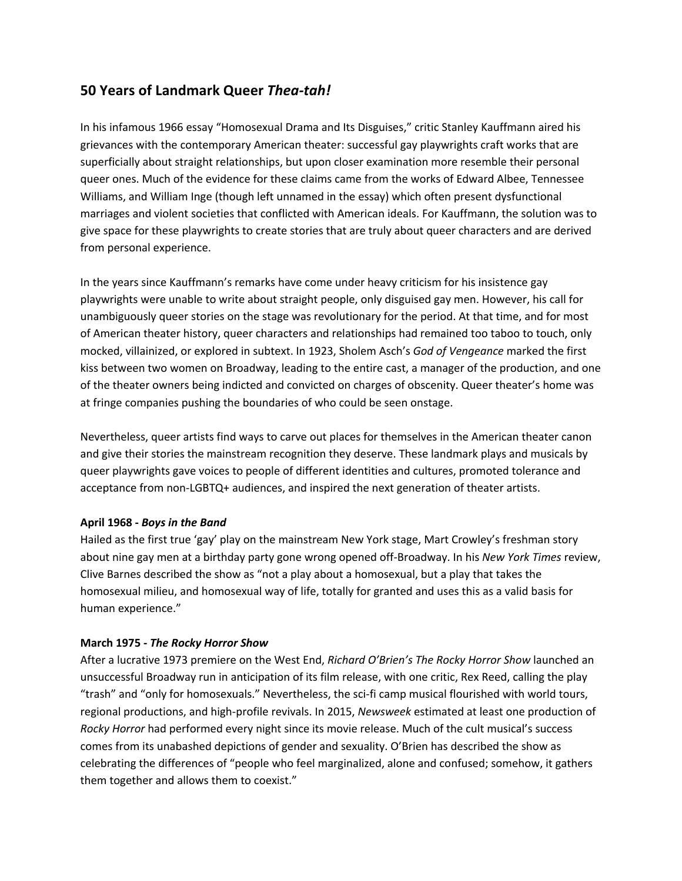# **50 Years of Landmark Queer** *Thea-tah!*

In his infamous 1966 essay "Homosexual Drama and Its Disguises," critic Stanley Kauffmann aired his grievances with the contemporary American theater: successful gay playwrights craft works that are superficially about straight relationships, but upon closer examination more resemble their personal queer ones. Much of the evidence for these claims came from the works of Edward Albee, Tennessee Williams, and William Inge (though left unnamed in the essay) which often present dysfunctional marriages and violent societies that conflicted with American ideals. For Kauffmann, the solution was to give space for these playwrights to create stories that are truly about queer characters and are derived from personal experience.

In the years since Kauffmann's remarks have come under heavy criticism for his insistence gay playwrights were unable to write about straight people, only disguised gay men. However, his call for unambiguously queer stories on the stage was revolutionary for the period. At that time, and for most of American theater history, queer characters and relationships had remained too taboo to touch, only mocked, villainized, or explored in subtext. In 1923, Sholem Asch's *God of Vengeance* marked the first kiss between two women on Broadway, leading to the entire cast, a manager of the production, and one of the theater owners being indicted and convicted on charges of obscenity. Queer theater's home was at fringe companies pushing the boundaries of who could be seen onstage.

Nevertheless, queer artists find ways to carve out places for themselves in the American theater canon and give their stories the mainstream recognition they deserve. These landmark plays and musicals by queer playwrights gave voices to people of different identities and cultures, promoted tolerance and acceptance from non-LGBTQ+ audiences, and inspired the next generation of theater artists.

## **April 1968 -** *Boys in the Band*

Hailed as the first true 'gay' play on the mainstream New York stage, Mart Crowley's freshman story about nine gay men at a birthday party gone wrong opened off-Broadway. In his *New York Times* review, Clive Barnes described the show as "not a play about a homosexual, but a play that takes the homosexual milieu, and homosexual way of life, totally for granted and uses this as a valid basis for human experience."

## **March 1975 -** *The Rocky Horror Show*

After a lucrative 1973 premiere on the West End, *Richard O'Brien's The Rocky Horror Show* launched an unsuccessful Broadway run in anticipation of its film release, with one critic, Rex Reed, calling the play "trash" and "only for homosexuals." Nevertheless, the sci-fi camp musical flourished with world tours, regional productions, and high-profile revivals. In 2015, *Newsweek* estimated at least one production of *Rocky Horror* had performed every night since its movie release. Much of the cult musical's success comes from its unabashed depictions of gender and sexuality. O'Brien has described the show as celebrating the differences of "people who feel marginalized, alone and confused; somehow, it gathers them together and allows them to coexist."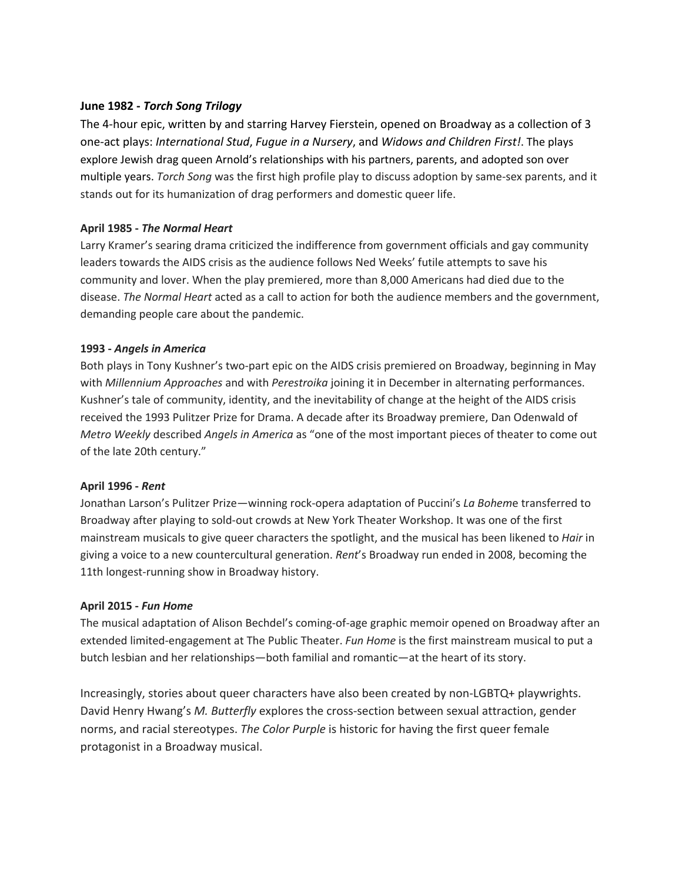## **June 1982 -** *Torch Song Trilogy*

The 4-hour epic, written by and starring Harvey Fierstein, opened on Broadway as a collection of 3 one-act plays: *International Stud*, *Fugue in a Nursery*, and *Widows and Children First!*. The plays explore Jewish drag queen Arnold's relationships with his partners, parents, and adopted son over multiple years. *Torch Song* was the first high profile play to discuss adoption by same-sex parents, and it stands out for its humanization of drag performers and domestic queer life.

## **April 1985 -** *The Normal Heart*

Larry Kramer's searing drama criticized the indifference from government officials and gay community leaders towards the AIDS crisis as the audience follows Ned Weeks' futile attempts to save his community and lover. When the play premiered, more than 8,000 Americans had died due to the disease. *The Normal Heart* acted as a call to action for both the audience members and the government, demanding people care about the pandemic.

## **1993 -** *Angels in America*

Both plays in Tony Kushner's two-part epic on the AIDS crisis premiered on Broadway, beginning in May with *Millennium Approaches* and with *Perestroika* joining it in December in alternating performances. Kushner's tale of community, identity, and the inevitability of change at the height of the AIDS crisis received the 1993 Pulitzer Prize for Drama. A decade after its Broadway premiere, Dan Odenwald of *Metro Weekly* described *Angels in America* as "one of the most important pieces of theater to come out of the late 20th century."

## **April 1996 -** *Rent*

Jonathan Larson's Pulitzer Prize—winning rock-opera adaptation of Puccini's *La Bohem*e transferred to Broadway after playing to sold-out crowds at New York Theater Workshop. It was one of the first mainstream musicals to give queer characters the spotlight, and the musical has been likened to *Hair* in giving a voice to a new countercultural generation. *Rent*'s Broadway run ended in 2008, becoming the 11th longest-running show in Broadway history.

## **April 2015 -** *Fun Home*

The musical adaptation of Alison Bechdel's coming-of-age graphic memoir opened on Broadway after an extended limited-engagement at The Public Theater. *Fun Home* is the first mainstream musical to put a butch lesbian and her relationships—both familial and romantic—at the heart of its story.

Increasingly, stories about queer characters have also been created by non-LGBTQ+ playwrights. David Henry Hwang's *M. Butterfly* explores the cross-section between sexual attraction, gender norms, and racial stereotypes. *The Color Purple* is historic for having the first queer female protagonist in a Broadway musical.